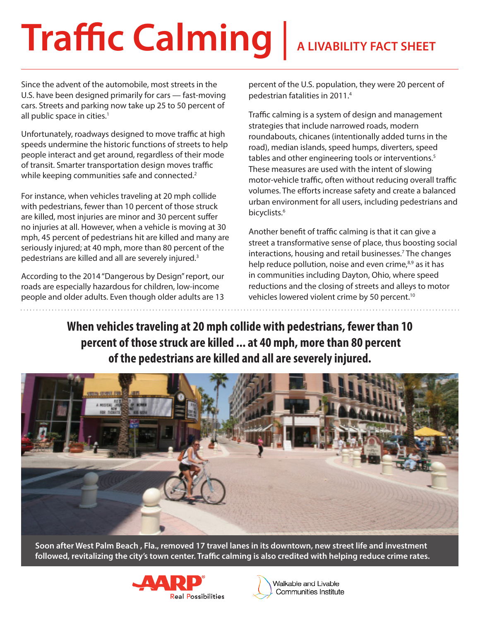# **Traffic Calming** | **A LIVABILITY FACT SHEET**

Since the advent of the automobile, most streets in the U.S. have been designed primarily for cars — fast-moving cars. Streets and parking now take up 25 to 50 percent of all public space in cities.<sup>1</sup>

Unfortunately, roadways designed to move traffic at high speeds undermine the historic functions of streets to help people interact and get around, regardless of their mode of transit. Smarter transportation design moves traffic while keeping communities safe and connected.<sup>2</sup>

For instance, when vehicles traveling at 20 mph collide with pedestrians, fewer than 10 percent of those struck are killed, most injuries are minor and 30 percent suffer no injuries at all. However, when a vehicle is moving at 30 mph, 45 percent of pedestrians hit are killed and many are seriously injured; at 40 mph, more than 80 percent of the pedestrians are killed and all are severely injured.<sup>3</sup>

According to the 2014 "Dangerous by Design" report, our roads are especially hazardous for children, low-income people and older adults. Even though older adults are 13 percent of the U.S. population, they were 20 percent of pedestrian fatalities in 2011.4

Traffic calming is a system of design and management strategies that include narrowed roads, modern roundabouts, chicanes (intentionally added turns in the road), median islands, speed humps, diverters, speed tables and other engineering tools or interventions.<sup>5</sup> These measures are used with the intent of slowing motor-vehicle traffic, often without reducing overall traffic volumes. The efforts increase safety and create a balanced urban environment for all users, including pedestrians and bicyclists.<sup>6</sup>

Another benefit of traffic calming is that it can give a street a transformative sense of place, thus boosting social interactions, housing and retail businesses.7 The changes help reduce pollution, noise and even crime,<sup>8,9</sup> as it has in communities including Dayton, Ohio, where speed reductions and the closing of streets and alleys to motor vehicles lowered violent crime by 50 percent.<sup>10</sup>

**When vehicles traveling at 20 mph collide with pedestrians, fewer than 10 percent of those struck are killed ... at 40 mph, more than 80 percent of the pedestrians are killed and all are severely injured.**



**Soon after West Palm Beach , Fla., removed 17 travel lanes in its downtown, new street life and investment followed, revitalizing the city's town center. Traffic calming is also credited with helping reduce crime rates.**



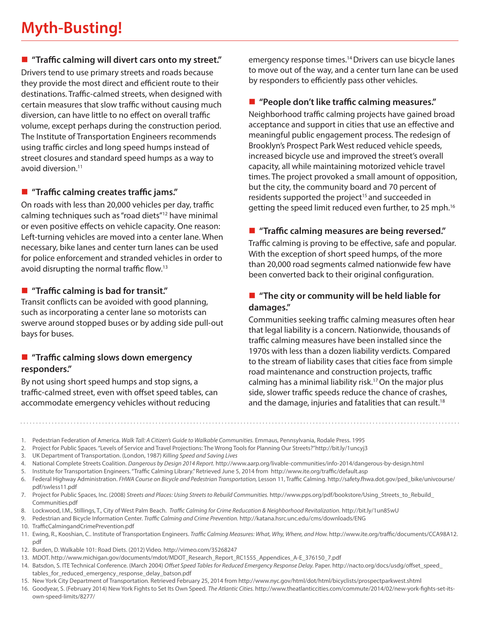# **Myth-Busting!**

# **"Traffic calming will divert cars onto my street."**

Drivers tend to use primary streets and roads because they provide the most direct and efficient route to their destinations. Traffic-calmed streets, when designed with certain measures that slow traffic without causing much diversion, can have little to no effect on overall traffic volume, except perhaps during the construction period. The Institute of Transportation Engineers recommends using traffic circles and long speed humps instead of street closures and standard speed humps as a way to avoid diversion.11

# **"Traffic calming creates traffic jams."**

On roads with less than 20,000 vehicles per day, traffic calming techniques such as "road diets"12 have minimal or even positive effects on vehicle capacity. One reason: Left-turning vehicles are moved into a center lane. When necessary, bike lanes and center turn lanes can be used for police enforcement and stranded vehicles in order to avoid disrupting the normal traffic flow.13

# **"Traffic calming is bad for transit."**

Transit conflicts can be avoided with good planning, such as incorporating a center lane so motorists can swerve around stopped buses or by adding side pull-out bays for buses.

# **"Traffic calming slows down emergency responders."**

By not using short speed humps and stop signs, a traffic-calmed street, even with offset speed tables, can accommodate emergency vehicles without reducing

emergency response times.<sup>14</sup> Drivers can use bicycle lanes to move out of the way, and a center turn lane can be used by responders to efficiently pass other vehicles.

# **"People don't like traffic calming measures."**

Neighborhood traffic calming projects have gained broad acceptance and support in cities that use an effective and meaningful public engagement process. The redesign of Brooklyn's Prospect Park West reduced vehicle speeds, increased bicycle use and improved the street's overall capacity, all while maintaining motorized vehicle travel times. The project provoked a small amount of opposition, but the city, the community board and 70 percent of residents supported the project<sup>15</sup> and succeeded in getting the speed limit reduced even further, to 25 mph.16

# **"Traffic calming measures are being reversed."**

Traffic calming is proving to be effective, safe and popular. With the exception of short speed humps, of the more than 20,000 road segments calmed nationwide few have been converted back to their original configuration.

# ■ "The city or community will be held liable for **damages."**

Communities seeking traffic calming measures often hear that legal liability is a concern. Nationwide, thousands of traffic calming measures have been installed since the 1970s with less than a dozen liability verdicts. Compared to the stream of liability cases that cities face from simple road maintenance and construction projects, traffic calming has a minimal liability risk.17 On the major plus side, slower traffic speeds reduce the chance of crashes, and the damage, injuries and fatalities that can result.<sup>18</sup>

- 1. Pedestrian Federation of America. *Walk Tall: A Citizen's Guide to Walkable Communities.* Emmaus, Pennsylvania, Rodale Press. 1995
- 2. Project for Public Spaces. "Levels of Service and Travel Projections: The Wrong Tools for Planning Our Streets?"http://bit.ly/1uncyj3
- 3. UK Department of Transportation. (London, 1987) *Killing Speed and Saving Lives*
- 4. National Complete Streets Coalition. *Dangerous by Design 2014 Report.* http://www.aarp.org/livable-communities/info-2014/dangerous-by-design.html
- 5. Institute for Transportation Engineers. "Traffic Calming Library." Retrieved June 5, 2014 from http://www.ite.org/traffic/default.asp
- 6. Federal Highway Administration. *FHWA Course on Bicycle and Pedestrian Transportation,* Lesson 11, Traffic Calming. http://safety.fhwa.dot.gov/ped\_bike/univcourse/ pdf/swless11.pdf
- 7. Project for Public Spaces, Inc. (2008) *Streets and Places: Using Streets to Rebuild Communities.* http://www.pps.org/pdf/bookstore/Using\_Streets\_to\_Rebuild\_ Communities.pdf
- 8. Lockwood, I.M., Stillings, T., City of West Palm Beach. *Traffic Calming for Crime Reducation & Neighborhood Revitalization.* http://bit.ly/1un85wU
- 9. Pedestrian and Bicycle Information Center. *Traffic Calming and Crime Prevention.* http://katana.hsrc.unc.edu/cms/downloads/ENG
- 10. TrafficCalmingandCrimePrevention.pdf
- 11. Ewing, R., Kooshian, C.. Institute of Transportation Engineers. *Traffic Calming Measures: What, Why, Where, and How.* http://www.ite.org/traffic/documents/CCA98A12. pdf
- 12. Burden, D. Walkable 101: Road Diets. (2012) Video. http://vimeo.com/35268247
- 13. MDOT. http://www.michigan.gov/documents/mdot/MDOT\_Research\_Report\_RC1555\_Appendices\_A-E\_376150\_7.pdf

14. Batsdon, S. ITE Technical Conference. (March 2004) *Offset Speed Tables for Reduced Emergency Response Delay.* Paper. http://nacto.org/docs/usdg/offset\_speed\_ tables\_for\_reduced\_emergency\_response\_delay\_batson.pdf

- 15. New York City Department of Transportation. Retrieved February 25, 2014 from http://www.nyc.gov/html/dot/html/bicyclists/prospectparkwest.shtml
- 16. Goodyear, S. (February 2014) New York Fights to Set Its Own Speed. *The Atlantic Cities.* http://www.theatlanticcities.com/commute/2014/02/new-york-fights-set-itsown-speed-limits/8277/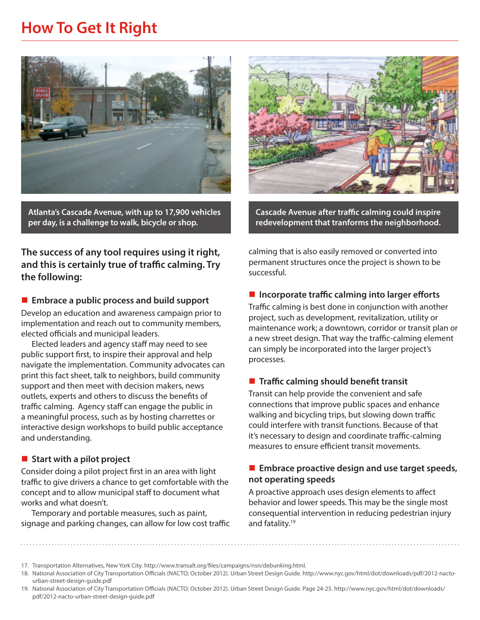# **How To Get It Right**



**Atlanta's Cascade Avenue, with up to 17,900 vehicles per day, is a challenge to walk, bicycle or shop.**

**The success of any tool requires using it right, and this is certainly true of traffic calming. Try the following:**

#### **Embrace a public process and build support**

Develop an education and awareness campaign prior to implementation and reach out to community members, elected officials and municipal leaders.

Elected leaders and agency staff may need to see public support first, to inspire their approval and help navigate the implementation. Community advocates can print this fact sheet, talk to neighbors, build community support and then meet with decision makers, news outlets, experts and others to discuss the benefits of traffic calming. Agency staff can engage the public in a meaningful process, such as by hosting charrettes or interactive design workshops to build public acceptance and understanding.

#### ■ Start with a pilot project

Consider doing a pilot project first in an area with light traffic to give drivers a chance to get comfortable with the concept and to allow municipal staff to document what works and what doesn't.

Temporary and portable measures, such as paint, signage and parking changes, can allow for low cost traffic



**Cascade Avenue after traffic calming could inspire redevelopment that tranforms the neighborhood.**

calming that is also easily removed or converted into permanent structures once the project is shown to be successful.

#### ■ Incorporate traffic calming into larger efforts

Traffic calming is best done in conjunction with another project, such as development, revitalization, utility or maintenance work; a downtown, corridor or transit plan or a new street design. That way the traffic-calming element can simply be incorporated into the larger project's processes.

#### **Traffic calming should benefit transit**

Transit can help provide the convenient and safe connections that improve public spaces and enhance walking and bicycling trips, but slowing down traffic could interfere with transit functions. Because of that it's necessary to design and coordinate traffic-calming measures to ensure efficient transit movements.

#### ■ **Embrace proactive design and use target speeds**, **not operating speeds**

A proactive approach uses design elements to affect behavior and lower speeds. This may be the single most consequential intervention in reducing pedestrian injury and fatality.19

19. National Association of City Transportation Officials (NACTO; October 2012). Urban Street Design Guide. Page 24-25. http://www.nyc.gov/html/dot/downloads/ pdf/2012-nacto-urban-street-design-guide.pdf

<sup>17.</sup> Transportation Alternatives, New York City. http://www.transalt.org/files/campaigns/nsn/debunking.html.

<sup>18.</sup> National Association of City Transportation Officials (NACTO; October 2012). Urban Street Design Guide. http://www.nyc.gov/html/dot/downloads/pdf/2012-nactourban-street-design-guide.pdf